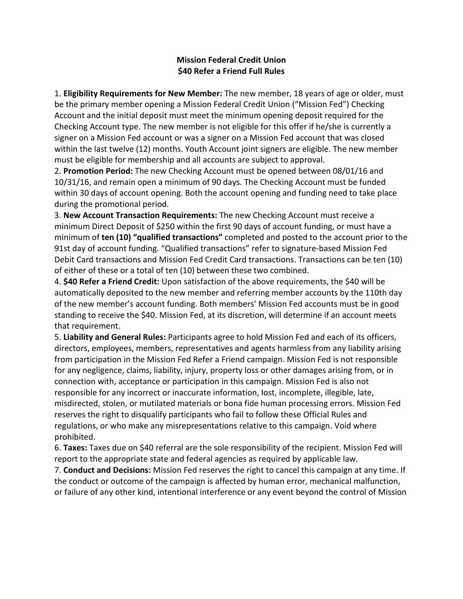## **Mission Federal Credit Union \$40 Refer a Friend Full Rules**

1. **Eligibility Requirements for New Member:** The new member, 18 years of age or older, must be the primary member opening a Mission Federal Credit Union ("Mission Fed") Checking Account and the initial deposit must meet the minimum opening deposit required for the Checking Account type. The new member is not eligible for this offer if he/she is currently a signer on a Mission Fed account or was a signer on a Mission Fed account that was closed within the last twelve (12) months. Youth Account joint signers are eligible. The new member must be eligible for membership and all accounts are subject to approval.

2. **Promotion Period:** The new Checking Account must be opened between 08/01/16 and 10/31/16, and remain open a minimum of 90 days. The Checking Account must be funded within 30 days of account opening. Both the account opening and funding need to take place during the promotional period.

3. **New Account Transaction Requirements:** The new Checking Account must receive a minimum Direct Deposit of \$250 within the first 90 days of account funding, or must have a minimum of **ten (10) "qualified transactions"** completed and posted to the account prior to the 91st day of account funding. "Qualified transactions" refer to signature-based Mission Fed Debit Card transactions and Mission Fed Credit Card transactions. Transactions can be ten (10) of either of these or a total of ten (10) between these two combined.

4. **\$40 Refer a Friend Credit:** Upon satisfaction of the above requirements, the \$40 will be automatically deposited to the new member and referring member accounts by the 110th day of the new member's account funding. Both members' Mission Fed accounts must be in good standing to receive the \$40. Mission Fed, at its discretion, will determine if an account meets that requirement.

5. **Liability and General Rules:** Participants agree to hold Mission Fed and each of its officers, directors, employees, members, representatives and agents harmless from any liability arising from participation in the Mission Fed Refer a Friend campaign. Mission Fed is not responsible for any negligence, claims, liability, injury, property loss or other damages arising from, or in connection with, acceptance or participation in this campaign. Mission Fed is also not responsible for any incorrect or inaccurate information, lost, incomplete, illegible, late, misdirected, stolen, or mutilated materials or bona fide human processing errors. Mission Fed reserves the right to disqualify participants who fail to follow these Official Rules and regulations, or who make any misrepresentations relative to this campaign. Void where prohibited.

6. **Taxes:** Taxes due on \$40 referral are the sole responsibility of the recipient. Mission Fed will report to the appropriate state and federal agencies as required by applicable law.

7. **Conduct and Decisions:** Mission Fed reserves the right to cancel this campaign at any time. If the conduct or outcome of the campaign is affected by human error, mechanical malfunction, or failure of any other kind, intentional interference or any event beyond the control of Mission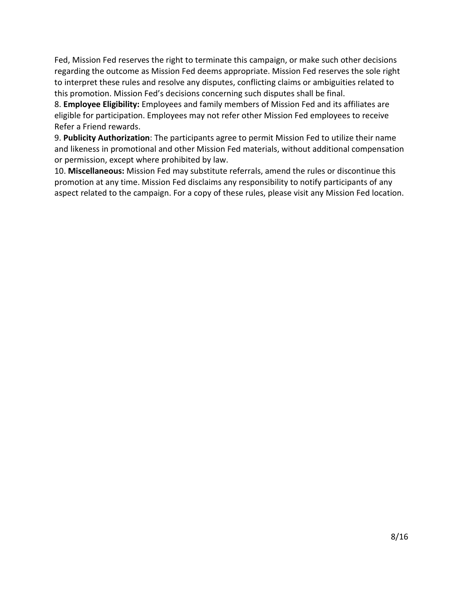Fed, Mission Fed reserves the right to terminate this campaign, or make such other decisions regarding the outcome as Mission Fed deems appropriate. Mission Fed reserves the sole right to interpret these rules and resolve any disputes, conflicting claims or ambiguities related to this promotion. Mission Fed's decisions concerning such disputes shall be final.

8. **Employee Eligibility:** Employees and family members of Mission Fed and its affiliates are eligible for participation. Employees may not refer other Mission Fed employees to receive Refer a Friend rewards.

9. **Publicity Authorization**: The participants agree to permit Mission Fed to utilize their name and likeness in promotional and other Mission Fed materials, without additional compensation or permission, except where prohibited by law.

10. **Miscellaneous:** Mission Fed may substitute referrals, amend the rules or discontinue this promotion at any time. Mission Fed disclaims any responsibility to notify participants of any aspect related to the campaign. For a copy of these rules, please visit any Mission Fed location.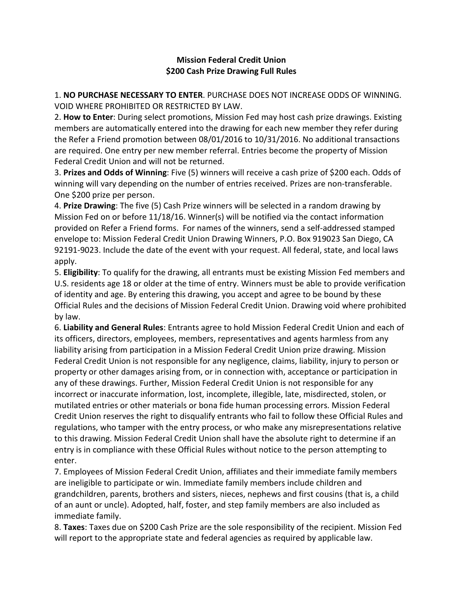## **Mission Federal Credit Union \$200 Cash Prize Drawing Full Rules**

1. **NO PURCHASE NECESSARY TO ENTER**. PURCHASE DOES NOT INCREASE ODDS OF WINNING. VOID WHERE PROHIBITED OR RESTRICTED BY LAW.

2. **How to Enter**: During select promotions, Mission Fed may host cash prize drawings. Existing members are automatically entered into the drawing for each new member they refer during the Refer a Friend promotion between 08/01/2016 to 10/31/2016. No additional transactions are required. One entry per new member referral. Entries become the property of Mission Federal Credit Union and will not be returned.

3. **Prizes and Odds of Winning**: Five (5) winners will receive a cash prize of \$200 each. Odds of winning will vary depending on the number of entries received. Prizes are non-transferable. One \$200 prize per person.

4. **Prize Drawing**: The five (5) Cash Prize winners will be selected in a random drawing by Mission Fed on or before 11/18/16. Winner(s) will be notified via the contact information provided on Refer a Friend forms. For names of the winners, send a self-addressed stamped envelope to: Mission Federal Credit Union Drawing Winners, P.O. Box 919023 San Diego, CA 92191-9023. Include the date of the event with your request. All federal, state, and local laws apply.

5. **Eligibility**: To qualify for the drawing, all entrants must be existing Mission Fed members and U.S. residents age 18 or older at the time of entry. Winners must be able to provide verification of identity and age. By entering this drawing, you accept and agree to be bound by these Official Rules and the decisions of Mission Federal Credit Union. Drawing void where prohibited by law.

6. **Liability and General Rules**: Entrants agree to hold Mission Federal Credit Union and each of its officers, directors, employees, members, representatives and agents harmless from any liability arising from participation in a Mission Federal Credit Union prize drawing. Mission Federal Credit Union is not responsible for any negligence, claims, liability, injury to person or property or other damages arising from, or in connection with, acceptance or participation in any of these drawings. Further, Mission Federal Credit Union is not responsible for any incorrect or inaccurate information, lost, incomplete, illegible, late, misdirected, stolen, or mutilated entries or other materials or bona fide human processing errors. Mission Federal Credit Union reserves the right to disqualify entrants who fail to follow these Official Rules and regulations, who tamper with the entry process, or who make any misrepresentations relative to this drawing. Mission Federal Credit Union shall have the absolute right to determine if an entry is in compliance with these Official Rules without notice to the person attempting to enter.

7. Employees of Mission Federal Credit Union, affiliates and their immediate family members are ineligible to participate or win. Immediate family members include children and grandchildren, parents, brothers and sisters, nieces, nephews and first cousins (that is, a child of an aunt or uncle). Adopted, half, foster, and step family members are also included as immediate family.

8. **Taxes**: Taxes due on \$200 Cash Prize are the sole responsibility of the recipient. Mission Fed will report to the appropriate state and federal agencies as required by applicable law.